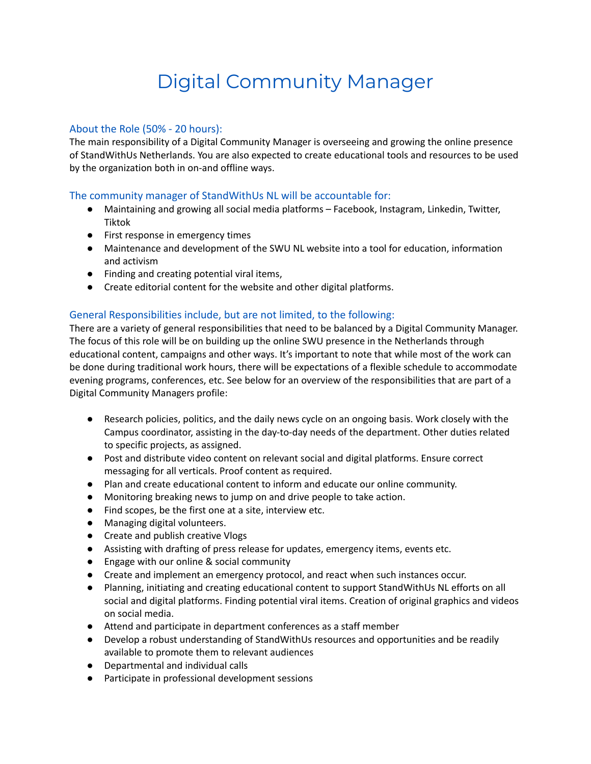# Digital Community Manager

## About the Role (50% - 20 hours):

The main responsibility of a Digital Community Manager is overseeing and growing the online presence of StandWithUs Netherlands. You are also expected to create educational tools and resources to be used by the organization both in on-and offline ways.

## The community manager of StandWithUs NL will be accountable for:

- Maintaining and growing all social media platforms Facebook, Instagram, Linkedin, Twitter, Tiktok
- First response in emergency times
- Maintenance and development of the SWU NL website into a tool for education, information and activism
- Finding and creating potential viral items,
- Create editorial content for the website and other digital platforms.

## General Responsibilities include, but are not limited, to the following:

There are a variety of general responsibilities that need to be balanced by a Digital Community Manager. The focus of this role will be on building up the online SWU presence in the Netherlands through educational content, campaigns and other ways. It's important to note that while most of the work can be done during traditional work hours, there will be expectations of a flexible schedule to accommodate evening programs, conferences, etc. See below for an overview of the responsibilities that are part of a Digital Community Managers profile:

- Research policies, politics, and the daily news cycle on an ongoing basis. Work closely with the Campus coordinator, assisting in the day-to-day needs of the department. Other duties related to specific projects, as assigned.
- Post and distribute video content on relevant social and digital platforms. Ensure correct messaging for all verticals. Proof content as required.
- Plan and create educational content to inform and educate our online community.
- Monitoring breaking news to jump on and drive people to take action.
- Find scopes, be the first one at a site, interview etc.
- Managing digital volunteers.
- Create and publish creative Vlogs
- Assisting with drafting of press release for updates, emergency items, events etc.
- Engage with our online & social community
- Create and implement an emergency protocol, and react when such instances occur.
- Planning, initiating and creating educational content to support StandWithUs NL efforts on all social and digital platforms. Finding potential viral items. Creation of original graphics and videos on social media.
- Attend and participate in department conferences as a staff member
- Develop a robust understanding of StandWithUs resources and opportunities and be readily available to promote them to relevant audiences
- Departmental and individual calls
- Participate in professional development sessions